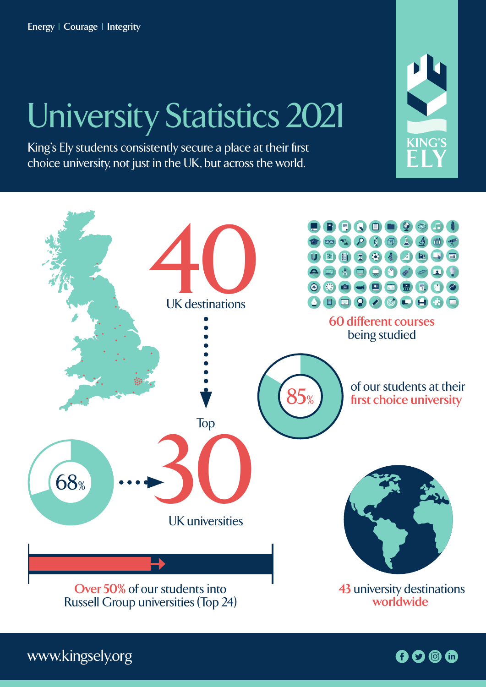**Energy | Courage | Integrity**

## University Statistics 2021

King's Ely students consistently secure a place at their first choice university, not just in the UK, but across the world.



www.kingsely.org

 $0000$ 

KING'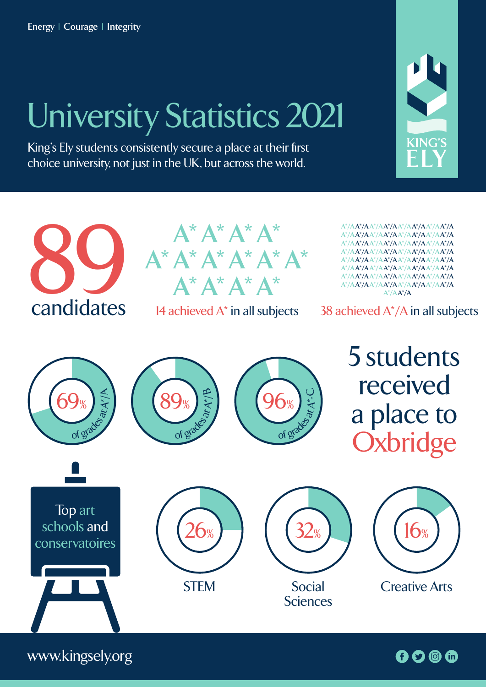Energy | Courage | Integrity

## University Statistics 2021

King's Ely students consistently secure a place at their first choice university, not just in the UK, but across the world.





www.kingsely.org

 $0000$